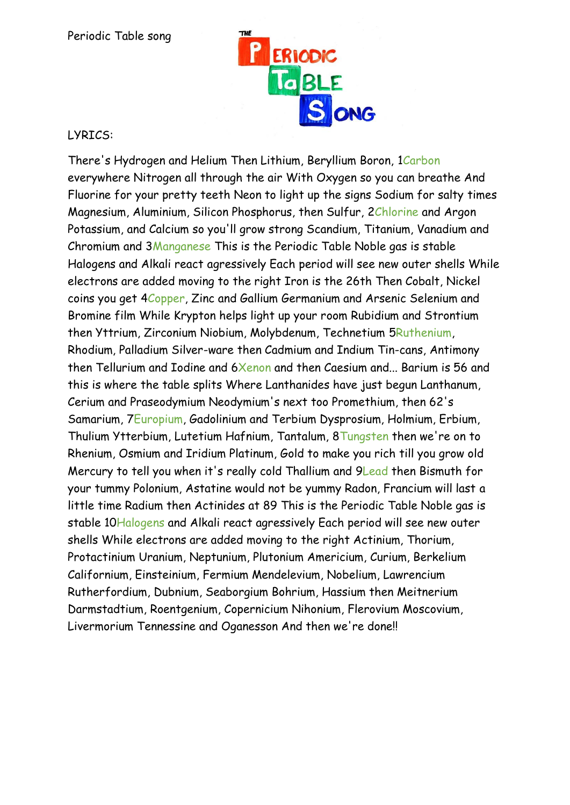

## LYRICS:

There's Hydrogen and Helium Then Lithium, Beryllium Boron, 1Carbon everywhere Nitrogen all through the air With Oxygen so you can breathe And Fluorine for your pretty teeth Neon to light up the signs Sodium for salty times Magnesium, Aluminium, Silicon Phosphorus, then Sulfur, 2Chlorine and Argon Potassium, and Calcium so you'll grow strong Scandium, Titanium, Vanadium and Chromium and 3Manganese This is the Periodic Table Noble gas is stable Halogens and Alkali react agressively Each period will see new outer shells While electrons are added moving to the right Iron is the 26th Then Cobalt, Nickel coins you get 4Copper, Zinc and Gallium Germanium and Arsenic Selenium and Bromine film While Krypton helps light up your room Rubidium and Strontium then Yttrium, Zirconium Niobium, Molybdenum, Technetium 5Ruthenium, Rhodium, Palladium Silver-ware then Cadmium and Indium Tin-cans, Antimony then Tellurium and Iodine and 6Xenon and then Caesium and... Barium is 56 and this is where the table splits Where Lanthanides have just begun Lanthanum, Cerium and Praseodymium Neodymium's next too Promethium, then 62's Samarium, 7Europium, Gadolinium and Terbium Dysprosium, Holmium, Erbium, Thulium Ytterbium, Lutetium Hafnium, Tantalum, 8Tungsten then we're on to Rhenium, Osmium and Iridium Platinum, Gold to make you rich till you grow old Mercury to tell you when it's really cold Thallium and 9Lead then Bismuth for your tummy Polonium, Astatine would not be yummy Radon, Francium will last a little time Radium then Actinides at 89 This is the Periodic Table Noble gas is stable 10Halogens and Alkali react agressively Each period will see new outer shells While electrons are added moving to the right Actinium, Thorium, Protactinium Uranium, Neptunium, Plutonium Americium, Curium, Berkelium Californium, Einsteinium, Fermium Mendelevium, Nobelium, Lawrencium Rutherfordium, Dubnium, Seaborgium Bohrium, Hassium then Meitnerium Darmstadtium, Roentgenium, Copernicium Nihonium, Flerovium Moscovium, Livermorium Tennessine and Oganesson And then we're done!!